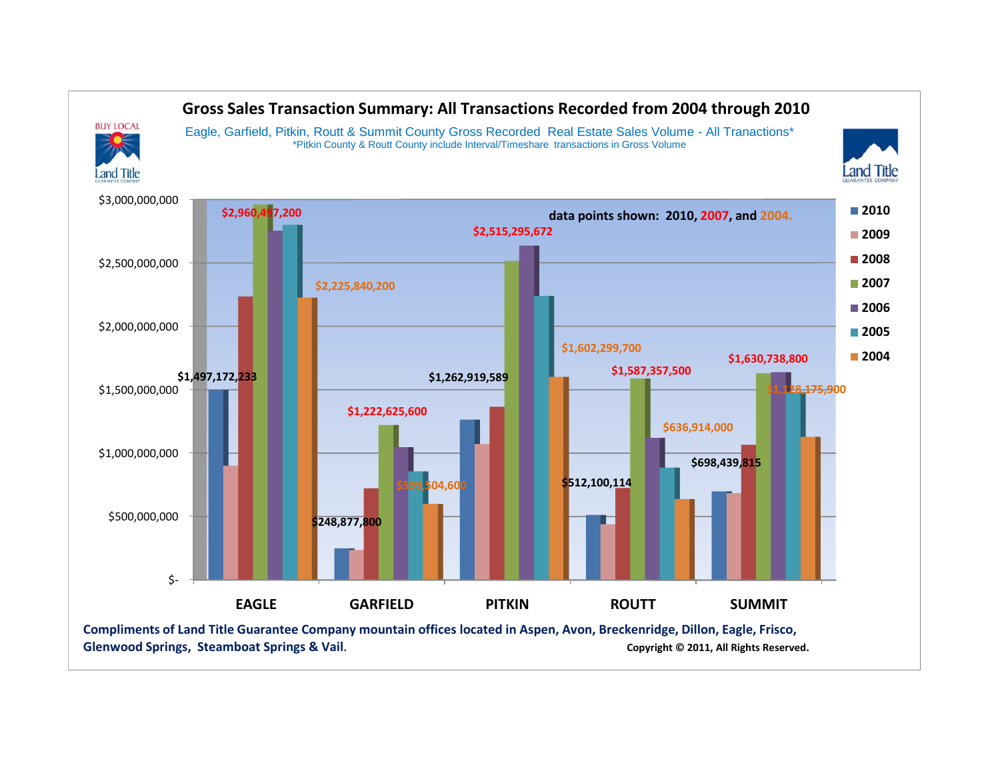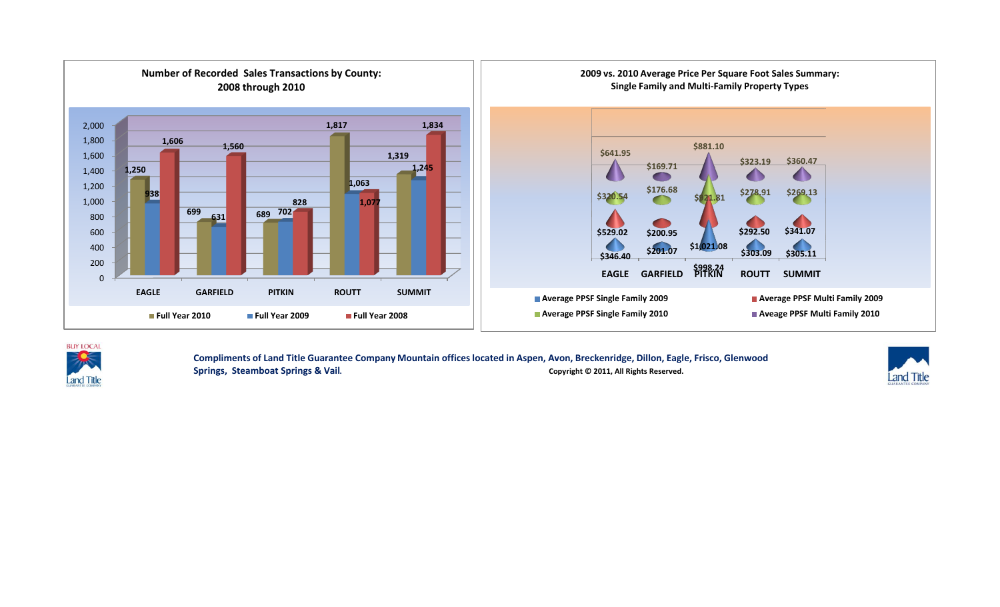



**Compliments of Land Title Guarantee Company Mountain offices located in Aspen, Avon, [Breckenridge,](http://www.luckymountainhome.com/breckenridge_real_estate/) Dillon, Eagle, Frisco, Glenwood**  Springs, Steamboat Springs & Vail. **Communist Constructs Constructs Constructs** Copyright © 2011, All Rights Reserved.

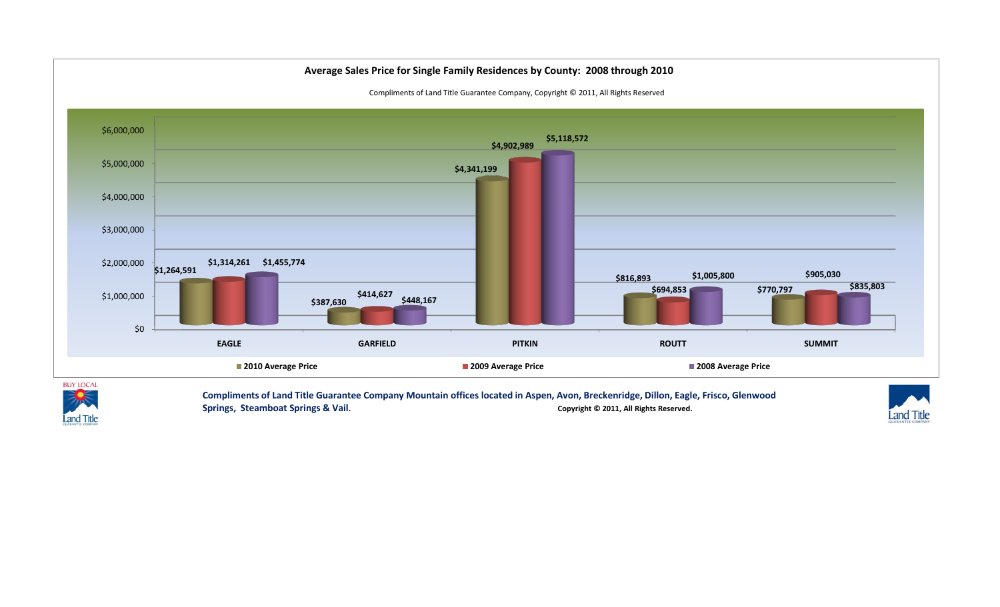



**Compliments of Land Title Guarantee Company Mountain offices located in Aspen, Avon, Breckenridge, [Dillon](http://www.luckymountainhome.com/dillon_real_estate/), Eagle, Frisco, Glenwood**  Springs, Steamboat Springs & Vail. **Communist Constructs Constructs Constructs** Copyright © 2011, All Rights Reserved.

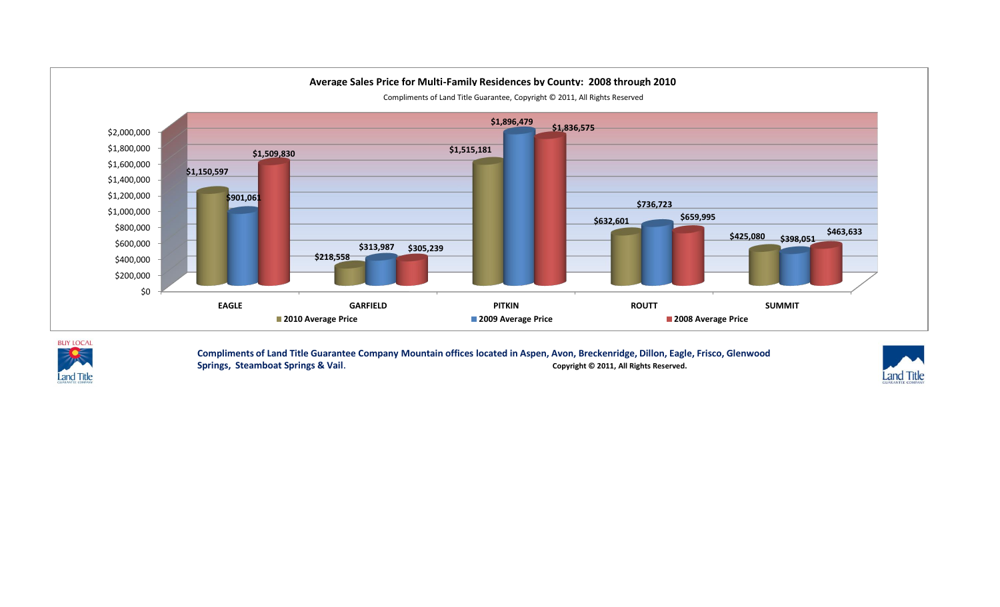



**Compliments of Land Title Guarantee Company Mountain offices located in Aspen, Avon, Breckenridge, Dillon, Eagle, [Frisco,](http://www.luckymountainhome.com/frisco_real_estate/) Glenwood Springs, Steamboat Springs & Vail.** Copyright © 2011, All Rights Reserved.

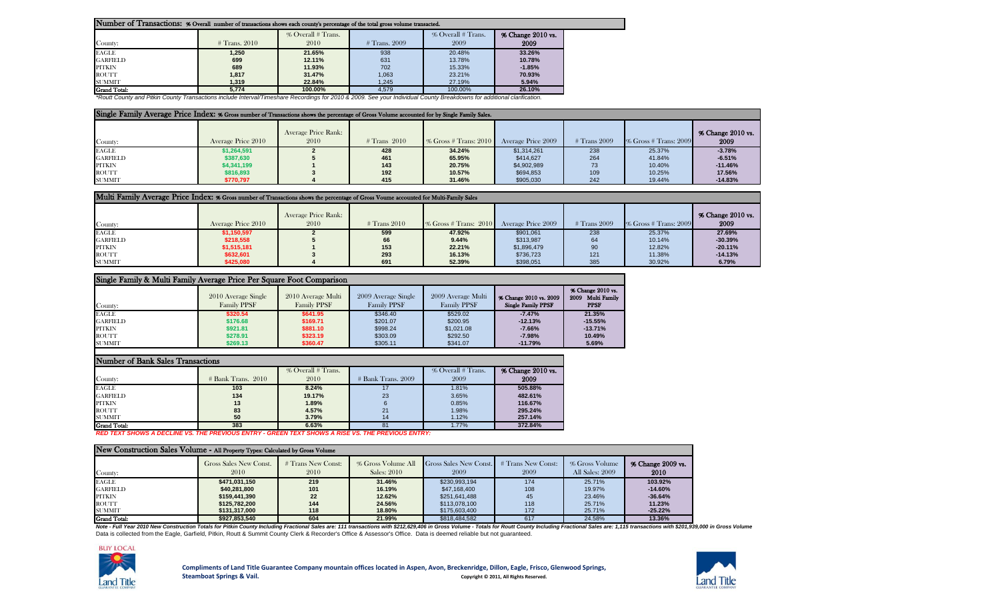| Number of Transactions: % Overall number of transactions shows each county's percentage of the total gross volume transacted. |                 |                            |                 |                            |                           |  |  |  |  |  |  |  |  |
|-------------------------------------------------------------------------------------------------------------------------------|-----------------|----------------------------|-----------------|----------------------------|---------------------------|--|--|--|--|--|--|--|--|
| County:                                                                                                                       | $#$ Trans. 2010 | % Overall # Trans.<br>2010 | $#$ Trans. 2009 | % Overall # Trans.<br>2009 | % Change 2010 vs.<br>2009 |  |  |  |  |  |  |  |  |
| <b>EAGLE</b>                                                                                                                  | 1.250           | 21.65%                     | 938             | 20.48%                     | 33.26%                    |  |  |  |  |  |  |  |  |
| <b>GARFIELD</b>                                                                                                               | 699             | 12.11%                     | 631             | 13.78%                     | 10.78%                    |  |  |  |  |  |  |  |  |
| PITKIN                                                                                                                        | 689             | 11.93%                     | 702             | 15.33%                     | $-1.85%$                  |  |  |  |  |  |  |  |  |
| <b>ROUTT</b>                                                                                                                  | 1,817           | 31.47%                     | 1,063           | 23.21%                     | 70.93%                    |  |  |  |  |  |  |  |  |
| <b>SUMMIT</b>                                                                                                                 | 1,319           | 22.84%                     | 1.245           | 27.19%                     | 5.94%                     |  |  |  |  |  |  |  |  |
| <b>Grand Total:</b>                                                                                                           | 5.774           | 100.00%                    | 4.579           | 100.00%                    | 26.10%                    |  |  |  |  |  |  |  |  |

*\*Routt County and Pitkin County Transactions include Interval/Timeshare Recordings for 2010 & 2009. See your Individual County Breakdowns for additional clarification.*

| Single Family Average Price Index: % Gross number of Transactions shows the percentage of Gross Volume accounted for by Single Family Sales. |                    |                                    |                |                          |                    |              |                          |                           |  |  |  |  |  |
|----------------------------------------------------------------------------------------------------------------------------------------------|--------------------|------------------------------------|----------------|--------------------------|--------------------|--------------|--------------------------|---------------------------|--|--|--|--|--|
| County:                                                                                                                                      | Average Price 2010 | <b>Average Price Rank:</b><br>2010 | $#$ Trans 2010 | $\%$ Gross # Trans: 2010 | Average Price 2009 | # Trans 2009 | $\%$ Gross # Trans: 2009 | % Change 2010 vs.<br>2009 |  |  |  |  |  |
| <b>EAGLE</b>                                                                                                                                 | \$1,264,591        |                                    | 428            | 34.24%                   | \$1,314,261        | 238          | 25.37%                   | $-3.78%$                  |  |  |  |  |  |
| <b>GARFIELD</b>                                                                                                                              | \$387,630          |                                    | 461            | 65.95%                   | \$414,627          | 264          | 41.84%                   | $-6.51%$                  |  |  |  |  |  |
| PITKIN                                                                                                                                       | \$4,341,199        |                                    | 143            | 20.75%                   | \$4,902,989        |              | 10.40%                   | $-11.46%$                 |  |  |  |  |  |
| <b>ROUTT</b>                                                                                                                                 | \$816,893          |                                    | 192            | 10.57%                   | \$694,853          | 109          | 10.25%                   | 17.56%                    |  |  |  |  |  |
| <b>SUMMIT</b>                                                                                                                                | \$770.797          |                                    | 415            | 31.46%                   | \$905,030          | 242          | 19.44%                   | $-14.83%$                 |  |  |  |  |  |

| Multi Family Average Price Index: % Gross number of Transactions shows the percentage of Gross Voume accounted for Multi-Family Sales |                    |                             |                |                          |                    |                |                          |                           |  |  |  |  |  |
|---------------------------------------------------------------------------------------------------------------------------------------|--------------------|-----------------------------|----------------|--------------------------|--------------------|----------------|--------------------------|---------------------------|--|--|--|--|--|
| County:                                                                                                                               | Average Price 2010 | Average Price Rank:<br>2010 | $#$ Trans 2010 | $\%$ Gross # Trans: 2010 | Average Price 2009 | $#$ Trans 2009 | $\%$ Gross # Trans: 2009 | % Change 2010 vs.<br>2009 |  |  |  |  |  |
| <b>EAGLE</b>                                                                                                                          | \$1,150,597        |                             | 599            | 47.92%                   | \$901.061          | 238            | 25.37%                   | 27.69%                    |  |  |  |  |  |
| <b>GARFIELD</b>                                                                                                                       | \$218,558          |                             | 66             | 9.44%                    | \$313,987          |                | 10.14%                   | $-30.39%$                 |  |  |  |  |  |
| <b>PITKIN</b>                                                                                                                         | \$1,515,181        |                             | 153            | 22.21%                   | \$1,896,479        |                | 12.82%                   | $-20.11%$                 |  |  |  |  |  |
| <b>ROUTT</b>                                                                                                                          | \$632,601          |                             | 293            | 16.13%                   | \$736.723          | 121            | 11.38%                   | $-14.13%$                 |  |  |  |  |  |
| <b>SUMMIT</b>                                                                                                                         | \$425,080          |                             | 691            | 52.39%                   | \$398,051          | 385            | 30.92%                   | 6.79%                     |  |  |  |  |  |

## Single Family & Multi Family Average Price Per Square Foot Comparison

| County:         | 2010 Average Single<br><b>Family PPSF</b> | 2010 Average Multi<br><b>Family PPSF</b> | 2009 Average Single<br><b>Family PPSF</b> | 2009 Average Multi<br><b>Family PPSF</b> | % Change 2010 vs. 2009<br><b>Single Family PPSF</b> | % Change 2010 vs.<br>2009<br><b>Multi Family</b><br><b>PPSF</b> |
|-----------------|-------------------------------------------|------------------------------------------|-------------------------------------------|------------------------------------------|-----------------------------------------------------|-----------------------------------------------------------------|
| <b>EAGLE</b>    | \$320.54                                  | \$641.95                                 | \$346.40                                  | \$529.02                                 | $-7.47%$                                            | 21.35%                                                          |
| <b>GARFIELD</b> | \$176.68                                  | \$169.71                                 | \$201.07                                  | \$200.95                                 | $-12.13%$                                           | $-15.55%$                                                       |
| PITKIN          | \$921.81                                  | \$881.10                                 | \$998.24                                  | \$1,021.08                               | $-7.66%$                                            | $-13.71%$                                                       |
| ROUTT           | \$278.91                                  | \$323.19                                 | \$303.09                                  | \$292.50                                 | $-7.98%$                                            | 10.49%                                                          |
| <b>SUMMIT</b>   | \$269.13                                  | \$360.47                                 | \$305.11                                  | \$341.07                                 | $-11.79%$                                           | 5.69%                                                           |

| Number of Bank Sales Transactions |                      |                    |                      |                    |                       |  |  |  |  |  |  |  |
|-----------------------------------|----------------------|--------------------|----------------------|--------------------|-----------------------|--|--|--|--|--|--|--|
|                                   |                      | % Overall # Trans. |                      | % Overall # Trans. | $%$ Change $2010$ vs. |  |  |  |  |  |  |  |
| County:                           | $#$ Bank Trans. 2010 | 2010               | $#$ Bank Trans. 2009 | 2009               | 2009                  |  |  |  |  |  |  |  |
| <b>EAGLE</b>                      | 103                  | 8.24%              | 17                   | 1.81%              | 505.88%               |  |  |  |  |  |  |  |
| <b>GARFIELD</b>                   | 134                  | 19.17%             | 23                   | 3.65%              | 482.61%               |  |  |  |  |  |  |  |
| <b>PITKIN</b>                     | 13                   | 1.89%              |                      | 0.85%              | 116.67%               |  |  |  |  |  |  |  |
| <b>ROUTT</b>                      | 83                   | 4.57%              | 21                   | 1.98%              | 295.24%               |  |  |  |  |  |  |  |
| <b>SUMMIT</b>                     | 50                   | 3.79%              | 14                   | 1.12%              | 257.14%               |  |  |  |  |  |  |  |
| <b>Grand Total:</b>               | 383                  | 6.63%              | 81                   | 1.77%              | 372.84%               |  |  |  |  |  |  |  |

*RED TEXT SHOWS A DECLINE VS. THE PREVIOUS ENTRY - GREEN TEXT SHOWS A RISE VS. THE PREVIOUS ENTRY:*

|                 | New Construction Sales Volume - All Property Types: Calculated by Gross Volume |                            |                                   |                                       |                            |                                   |                           |  |  |  |  |  |  |  |
|-----------------|--------------------------------------------------------------------------------|----------------------------|-----------------------------------|---------------------------------------|----------------------------|-----------------------------------|---------------------------|--|--|--|--|--|--|--|
| County:         | Gross Sales New Const.<br>2010                                                 | # Trans New Const:<br>2010 | % Gross Volume All<br>Sales: 2010 | <b>Gross Sales New Const.</b><br>2009 | # Trans New Const:<br>2009 | % Gross Volume<br>All Sales: 2009 | % Change 2009 vs.<br>2010 |  |  |  |  |  |  |  |
| <b>EAGLE</b>    | \$471.031.150                                                                  | 219                        | 31.46%                            | \$230.993.194                         | 174                        | 25.71%                            | 103.92%                   |  |  |  |  |  |  |  |
| <b>GARFIELD</b> | \$40,281,800                                                                   | 101                        | 16.19%                            | \$47,168,400                          | 108                        | 19.97%                            | $-14.60%$                 |  |  |  |  |  |  |  |
| <b>PITKIN</b>   | \$159,441.390                                                                  | 22                         | 12.62%                            | \$251,641,488                         | 45                         | 23.46%                            | $-36.64%$                 |  |  |  |  |  |  |  |
| <b>ROUTT</b>    | \$125,782,200                                                                  | 144                        | 24.56%                            | \$113,078,100                         | 118                        | 25.71%                            | 11.23%                    |  |  |  |  |  |  |  |
| <b>SUMMIT</b>   | \$131,317,000                                                                  | 118                        | 18.80%                            | \$175,603,400                         | 172                        | 25.71%                            | $-25.22%$                 |  |  |  |  |  |  |  |
| Crand Total     | \$927,853,540                                                                  | 604                        | 21.99%                            | \$818,484,582                         | 617                        | 24 58%                            | 13.36%                    |  |  |  |  |  |  |  |

Grand Total: **1998** 13.36% 13.36% 13.36% 13.36% 13.36% 13.36% 13.36% 13.36% 13.36% 13.36% 13.36% 13.36% 13.36% 13.36% 13.36% 13.36% 13.36% 13.36% 13.36% 13.36% 13.36% 13.36% 13.36% 13.36% 13.36% 13.36% 13.36% 13.36% 13.36%



Г